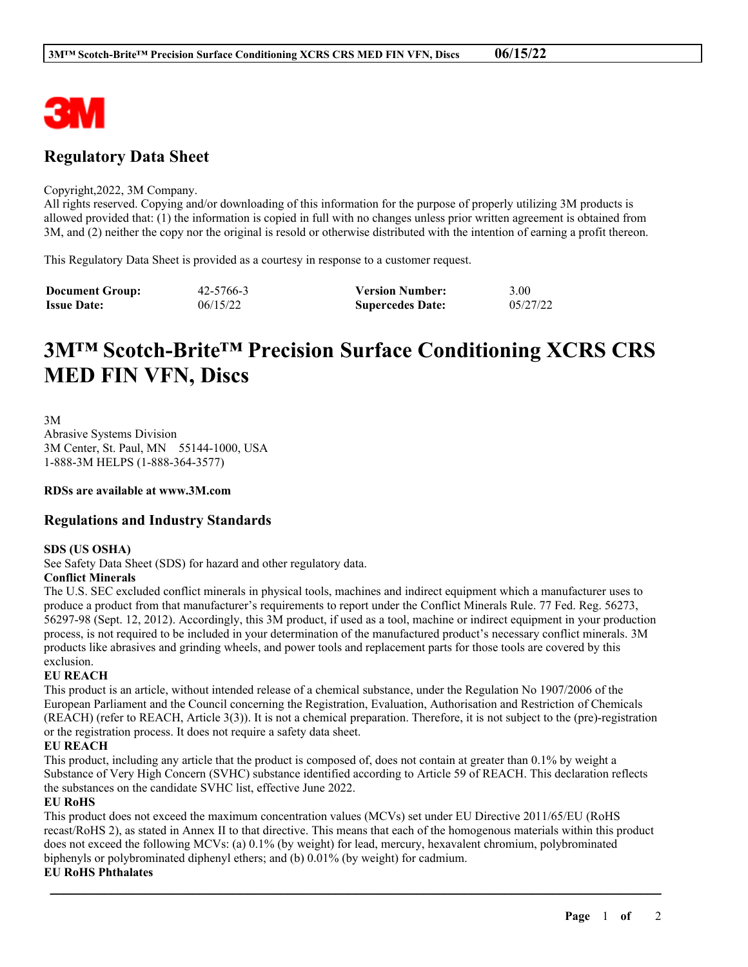

# **Regulatory Data Sheet**

#### Copyright,2022, 3M Company.

All rights reserved. Copying and/or downloading of this information for the purpose of properly utilizing 3M products is allowed provided that: (1) the information is copied in full with no changes unless prior written agreement is obtained from 3M, and (2) neither the copy nor the original is resold or otherwise distributed with the intention of earning a profit thereon.

This Regulatory Data Sheet is provided as a courtesy in response to a customer request.

| <b>Document Group:</b> | 42-5766-3 | <b>Version Number:</b>  | 3.00     |
|------------------------|-----------|-------------------------|----------|
| <b>Issue Date:</b>     | 06/15/22  | <b>Supercedes Date:</b> | 05/27/22 |

# **3M™ Scotch-Brite™ Precision Surface Conditioning XCRS CRS MED FIN VFN, Discs**

3M Abrasive Systems Division 3M Center, St. Paul, MN 55144-1000, USA 1-888-3M HELPS (1-888-364-3577)

**RDSs are available at www.3M.com**

## **Regulations and Industry Standards**

#### **SDS (US OSHA)**

See Safety Data Sheet (SDS) for hazard and other regulatory data.

#### **Conflict Minerals**

The U.S. SEC excluded conflict minerals in physical tools, machines and indirect equipment which a manufacturer uses to produce a product from that manufacturer's requirements to report under the Conflict Minerals Rule. 77 Fed. Reg. 56273, 56297-98 (Sept. 12, 2012). Accordingly, this 3M product, if used as a tool, machine or indirect equipment in your production process, is not required to be included in your determination of the manufactured product's necessary conflict minerals. 3M products like abrasives and grinding wheels, and power tools and replacement parts for those tools are covered by this exclusion.

#### **EU REACH**

This product is an article, without intended release of a chemical substance, under the Regulation No 1907/2006 of the European Parliament and the Council concerning the Registration, Evaluation, Authorisation and Restriction of Chemicals (REACH) (refer to REACH, Article 3(3)). It is not a chemical preparation. Therefore, it is not subject to the (pre)-registration or the registration process. It does not require a safety data sheet.

## **EU REACH**

This product, including any article that the product is composed of, does not contain at greater than 0.1% by weight a Substance of Very High Concern (SVHC) substance identified according to Article 59 of REACH. This declaration reflects the substances on the candidate SVHC list, effective June 2022.

#### **EU RoHS**

This product does not exceed the maximum concentration values (MCVs) set under EU Directive 2011/65/EU (RoHS recast/RoHS 2), as stated in Annex II to that directive. This means that each of the homogenous materials within this product does not exceed the following MCVs: (a) 0.1% (by weight) for lead, mercury, hexavalent chromium, polybrominated biphenyls or polybrominated diphenyl ethers; and (b) 0.01% (by weight) for cadmium.

\_\_\_\_\_\_\_\_\_\_\_\_\_\_\_\_\_\_\_\_\_\_\_\_\_\_\_\_\_\_\_\_\_\_\_\_\_\_\_\_\_\_\_\_\_\_\_\_\_\_\_\_\_\_\_\_\_\_\_\_\_\_\_\_\_\_\_\_\_\_\_\_\_\_\_\_\_\_\_\_\_\_\_\_\_\_\_\_\_\_

#### **EU RoHS Phthalates**